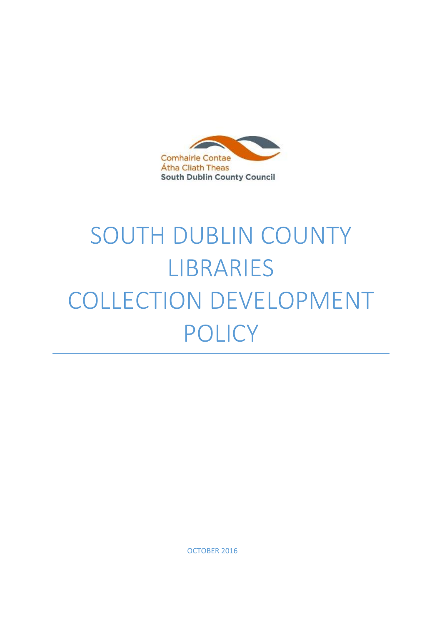

# SOUTH DUBLIN COUNTY LIBRARIES COLLECTION DEVELOPMENT POLICY

OCTOBER 2016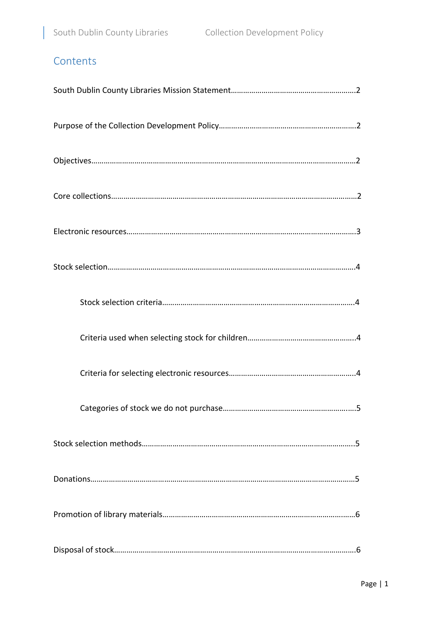# **Contents**

I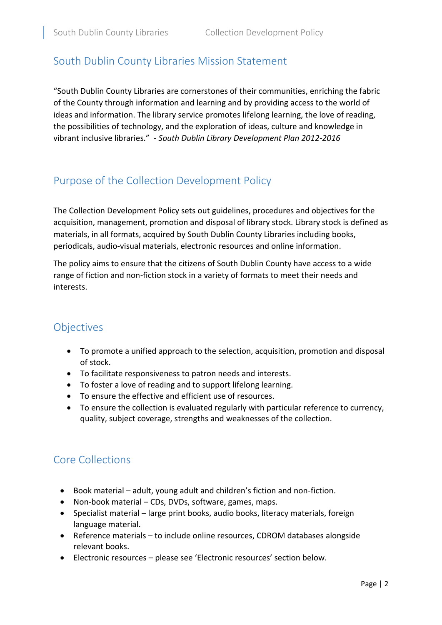## South Dublin County Libraries Mission Statement

"South Dublin County Libraries are cornerstones of their communities, enriching the fabric of the County through information and learning and by providing access to the world of ideas and information. The library service promotes lifelong learning, the love of reading, the possibilities of technology, and the exploration of ideas, culture and knowledge in vibrant inclusive libraries." - *South Dublin Library Development Plan 2012-2016*

## Purpose of the Collection Development Policy

The Collection Development Policy sets out guidelines, procedures and objectives for the acquisition, management, promotion and disposal of library stock. Library stock is defined as materials, in all formats, acquired by South Dublin County Libraries including books, periodicals, audio-visual materials, electronic resources and online information.

The policy aims to ensure that the citizens of South Dublin County have access to a wide range of fiction and non-fiction stock in a variety of formats to meet their needs and interests.

## **Objectives**

- To promote a unified approach to the selection, acquisition, promotion and disposal of stock.
- To facilitate responsiveness to patron needs and interests.
- To foster a love of reading and to support lifelong learning.
- To ensure the effective and efficient use of resources.
- To ensure the collection is evaluated regularly with particular reference to currency, quality, subject coverage, strengths and weaknesses of the collection.

## Core Collections

- Book material adult, young adult and children's fiction and non-fiction.
- Non-book material CDs, DVDs, software, games, maps.
- Specialist material large print books, audio books, literacy materials, foreign language material.
- Reference materials to include online resources, CDROM databases alongside relevant books.
- Electronic resources please see 'Electronic resources' section below.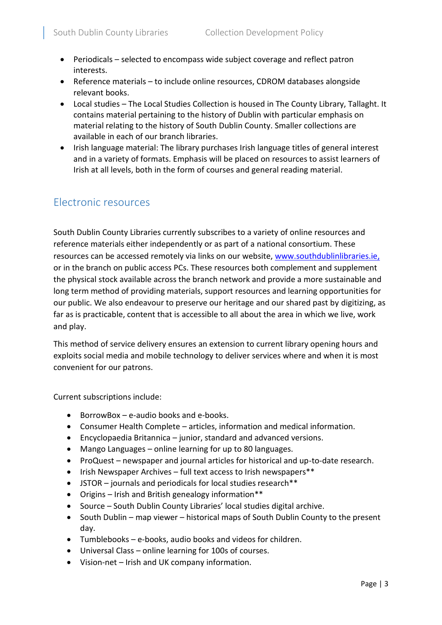- Periodicals selected to encompass wide subject coverage and reflect patron interests.
- Reference materials to include online resources, CDROM databases alongside relevant books.
- Local studies The Local Studies Collection is housed in The County Library, Tallaght. It contains material pertaining to the history of Dublin with particular emphasis on material relating to the history of South Dublin County. Smaller collections are available in each of our branch libraries.
- Irish language material: The library purchases Irish language titles of general interest and in a variety of formats. Emphasis will be placed on resources to assist learners of Irish at all levels, both in the form of courses and general reading material.

## Electronic resources

South Dublin County Libraries currently subscribes to a variety of online resources and reference materials either independently or as part of a national consortium. These resources can be accessed remotely via links on our website, [www.southdublinlibraries.ie,](http://www.southdublinlibraries.ie/) or in the branch on public access PCs. These resources both complement and supplement the physical stock available across the branch network and provide a more sustainable and long term method of providing materials, support resources and learning opportunities for our public. We also endeavour to preserve our heritage and our shared past by digitizing, as far as is practicable, content that is accessible to all about the area in which we live, work and play.

This method of service delivery ensures an extension to current library opening hours and exploits social media and mobile technology to deliver services where and when it is most convenient for our patrons.

Current subscriptions include:

- BorrowBox e-audio books and e-books.
- Consumer Health Complete articles, information and medical information.
- Encyclopaedia Britannica junior, standard and advanced versions.
- Mango Languages online learning for up to 80 languages.
- ProQuest newspaper and journal articles for historical and up-to-date research.
- Irish Newspaper Archives full text access to Irish newspapers\*\*
- JSTOR journals and periodicals for local studies research\*\*
- Origins Irish and British genealogy information\*\*
- Source South Dublin County Libraries' local studies digital archive.
- South Dublin map viewer historical maps of South Dublin County to the present day.
- Tumblebooks e-books, audio books and videos for children.
- Universal Class online learning for 100s of courses.
- Vision-net Irish and UK company information.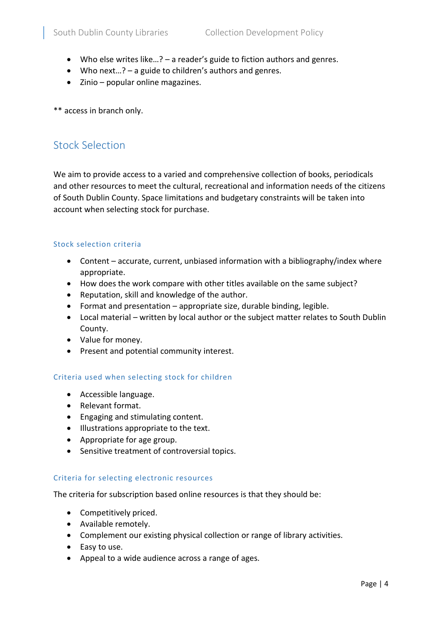- Who else writes like…? a reader's guide to fiction authors and genres.
- Who next…? a guide to children's authors and genres.
- Zinio popular online magazines.

\*\* access in branch only.

## Stock Selection

We aim to provide access to a varied and comprehensive collection of books, periodicals and other resources to meet the cultural, recreational and information needs of the citizens of South Dublin County. Space limitations and budgetary constraints will be taken into account when selecting stock for purchase.

#### Stock selection criteria

- Content accurate, current, unbiased information with a bibliography/index where appropriate.
- How does the work compare with other titles available on the same subject?
- Reputation, skill and knowledge of the author.
- Format and presentation appropriate size, durable binding, legible.
- Local material written by local author or the subject matter relates to South Dublin County.
- Value for money.
- Present and potential community interest.

#### Criteria used when selecting stock for children

- Accessible language.
- Relevant format.
- Engaging and stimulating content.
- **Illustrations appropriate to the text.**
- Appropriate for age group.
- Sensitive treatment of controversial topics.

#### Criteria for selecting electronic resources

The criteria for subscription based online resources is that they should be:

- Competitively priced.
- Available remotely.
- Complement our existing physical collection or range of library activities.
- Easy to use.
- Appeal to a wide audience across a range of ages.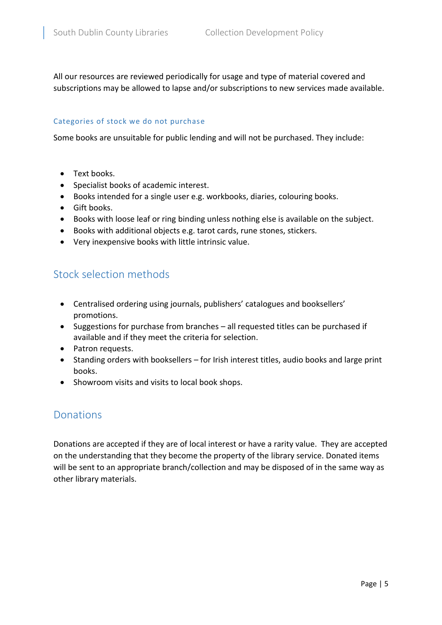All our resources are reviewed periodically for usage and type of material covered and subscriptions may be allowed to lapse and/or subscriptions to new services made available.

#### Categories of stock we do not purchase

Some books are unsuitable for public lending and will not be purchased. They include:

- Text books.
- Specialist books of academic interest.
- Books intended for a single user e.g. workbooks, diaries, colouring books.
- **•** Gift books.
- Books with loose leaf or ring binding unless nothing else is available on the subject.
- Books with additional objects e.g. tarot cards, rune stones, stickers.
- Very inexpensive books with little intrinsic value.

## Stock selection methods

- Centralised ordering using journals, publishers' catalogues and booksellers' promotions.
- Suggestions for purchase from branches all requested titles can be purchased if available and if they meet the criteria for selection.
- Patron requests.
- Standing orders with booksellers for Irish interest titles, audio books and large print books.
- Showroom visits and visits to local book shops.

### Donations

Donations are accepted if they are of local interest or have a rarity value. They are accepted on the understanding that they become the property of the library service. Donated items will be sent to an appropriate branch/collection and may be disposed of in the same way as other library materials.